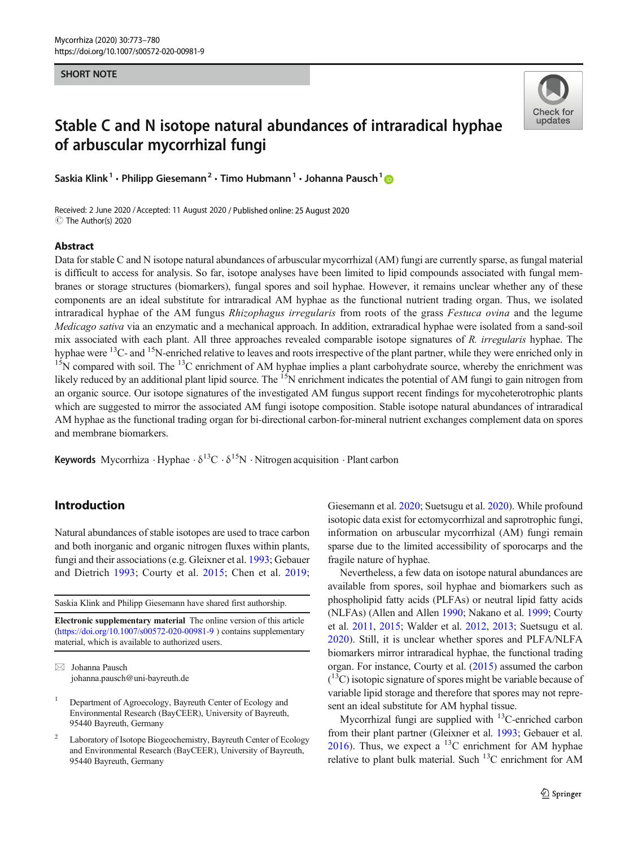### SHORT NOTE



# Stable C and N isotope natural abundances of intraradical hyphae of arbuscular mycorrhizal fungi

Saskia Klink<sup>1</sup> · Philipp Giesemann<sup>2</sup> · Timo Hubmann<sup>1</sup> · Johanna Pausch<sup>1</sup>

Received: 2 June 2020 / Accepted: 11 August 2020 / Published online: 25 August 2020 C The Author(s) 2020

#### Abstract

Data for stable C and N isotope natural abundances of arbuscular mycorrhizal (AM) fungi are currently sparse, as fungal material is difficult to access for analysis. So far, isotope analyses have been limited to lipid compounds associated with fungal membranes or storage structures (biomarkers), fungal spores and soil hyphae. However, it remains unclear whether any of these components are an ideal substitute for intraradical AM hyphae as the functional nutrient trading organ. Thus, we isolated intraradical hyphae of the AM fungus *Rhizophagus irregularis* from roots of the grass *Festuca ovina* and the legume Medicago sativa via an enzymatic and a mechanical approach. In addition, extraradical hyphae were isolated from a sand-soil mix associated with each plant. All three approaches revealed comparable isotope signatures of R. *irregularis* hyphae. The hyphae were <sup>13</sup>C- and <sup>15</sup>N-enriched relative to leaves and roots irrespective of the plant partner, while they were enriched only in <sup>15</sup>N compared with soil. The <sup>13</sup>C enrichment of AM hyphae implies a plant carbohydrate source, whereby the enrichment was likely reduced by an additional plant lipid source. The <sup>15</sup>N enrichment indicates the potential of AM fungi to gain nitrogen from an organic source. Our isotope signatures of the investigated AM fungus support recent findings for mycoheterotrophic plants which are suggested to mirror the associated AM fungi isotope composition. Stable isotope natural abundances of intraradical AM hyphae as the functional trading organ for bi-directional carbon-for-mineral nutrient exchanges complement data on spores and membrane biomarkers.

Keywords Mycorrhiza  $\cdot$  Hyphae  $\cdot \delta^{13}C \cdot \delta^{15}N \cdot$  Nitrogen acquisition  $\cdot$  Plant carbon

## Introduction

Natural abundances of stable isotopes are used to trace carbon and both inorganic and organic nitrogen fluxes within plants, fungi and their associations (e.g. Gleixner et al. [1993;](#page-6-0) Gebauer and Dietrich [1993](#page-6-0); Courty et al. [2015;](#page-6-0) Chen et al. [2019](#page-6-0);

Saskia Klink and Philipp Giesemann have shared first authorship.

Electronic supplementary material The online version of this article (<https://doi.org/10.1007/s00572-020-00981-9> ) contains supplementary material, which is available to authorized users.

 $\boxtimes$  Johanna Pausch [johanna.pausch@uni-bayreuth.de](mailto:johanna.pausch@uni-bayreuth.de)

- <sup>1</sup> Department of Agroecology, Bayreuth Center of Ecology and Environmental Research (BayCEER), University of Bayreuth, 95440 Bayreuth, Germany
- <sup>2</sup> Laboratory of Isotope Biogeochemistry, Bayreuth Center of Ecology and Environmental Research (BayCEER), University of Bayreuth, 95440 Bayreuth, Germany

Giesemann et al. [2020](#page-6-0); Suetsugu et al. [2020\)](#page-7-0). While profound isotopic data exist for ectomycorrhizal and saprotrophic fungi, information on arbuscular mycorrhizal (AM) fungi remain sparse due to the limited accessibility of sporocarps and the fragile nature of hyphae.

Nevertheless, a few data on isotope natural abundances are available from spores, soil hyphae and biomarkers such as phospholipid fatty acids (PLFAs) or neutral lipid fatty acids (NLFAs) (Allen and Allen [1990](#page-6-0); Nakano et al. [1999;](#page-7-0) Courty et al. [2011,](#page-6-0) [2015;](#page-6-0) Walder et al. [2012](#page-7-0), [2013;](#page-7-0) Suetsugu et al. [2020\)](#page-7-0). Still, it is unclear whether spores and PLFA/NLFA biomarkers mirror intraradical hyphae, the functional trading organ. For instance, Courty et al. [\(2015\)](#page-6-0) assumed the carbon ( 13C) isotopic signature of spores might be variable because of variable lipid storage and therefore that spores may not represent an ideal substitute for AM hyphal tissue.

Mycorrhizal fungi are supplied with  $^{13}$ C-enriched carbon from their plant partner (Gleixner et al. [1993](#page-6-0); Gebauer et al. [2016](#page-6-0)). Thus, we expect a  $^{13}$ C enrichment for AM hyphae relative to plant bulk material. Such 13C enrichment for AM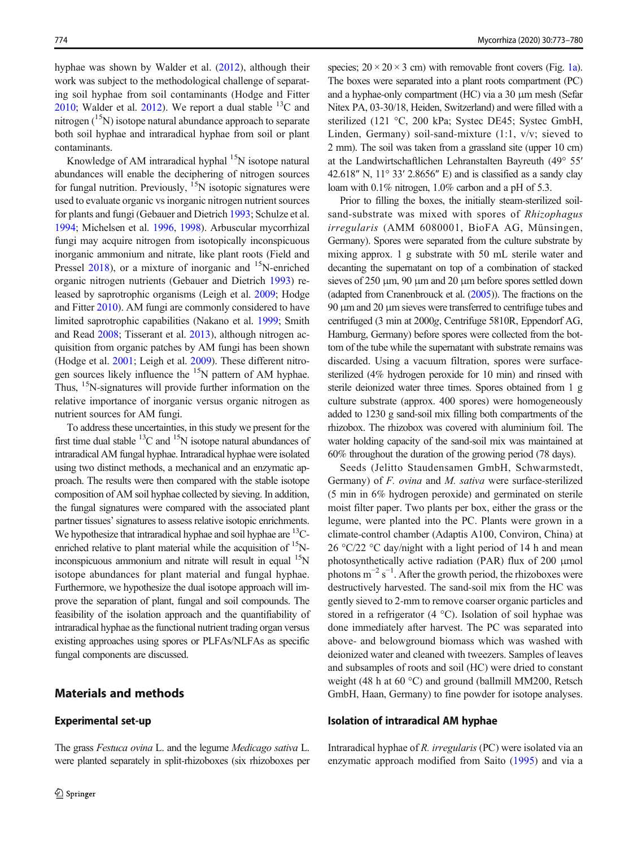hyphae was shown by Walder et al. [\(2012](#page-7-0)), although their work was subject to the methodological challenge of separating soil hyphae from soil contaminants (Hodge and Fitter [2010;](#page-7-0) Walder et al. [2012](#page-7-0)). We report a dual stable  $^{13}$ C and nitrogen  $({}^{15}N)$  isotope natural abundance approach to separate both soil hyphae and intraradical hyphae from soil or plant contaminants.

Knowledge of AM intraradical hyphal  $15N$  isotope natural abundances will enable the deciphering of nitrogen sources for fungal nutrition. Previously,  $15N$  isotopic signatures were used to evaluate organic vs inorganic nitrogen nutrient sources for plants and fungi (Gebauer and Dietrich [1993;](#page-6-0) Schulze et al. [1994;](#page-7-0) Michelsen et al. [1996](#page-7-0), [1998\)](#page-7-0). Arbuscular mycorrhizal fungi may acquire nitrogen from isotopically inconspicuous inorganic ammonium and nitrate, like plant roots (Field and Pressel  $2018$ ), or a mixture of inorganic and <sup>15</sup>N-enriched organic nitrogen nutrients (Gebauer and Dietrich [1993\)](#page-6-0) released by saprotrophic organisms (Leigh et al. [2009](#page-7-0); Hodge and Fitter [2010\)](#page-7-0). AM fungi are commonly considered to have limited saprotrophic capabilities (Nakano et al. [1999;](#page-7-0) Smith and Read [2008;](#page-7-0) Tisserant et al. [2013\)](#page-7-0), although nitrogen acquisition from organic patches by AM fungi has been shown (Hodge et al. [2001;](#page-7-0) Leigh et al. [2009](#page-7-0)). These different nitrogen sources likely influence the <sup>15</sup>N pattern of AM hyphae. Thus, <sup>15</sup>N-signatures will provide further information on the relative importance of inorganic versus organic nitrogen as nutrient sources for AM fungi.

To address these uncertainties, in this study we present for the first time dual stable  ${}^{13}$ C and  ${}^{15}$ N isotope natural abundances of intraradical AM fungal hyphae. Intraradical hyphae were isolated using two distinct methods, a mechanical and an enzymatic approach. The results were then compared with the stable isotope composition of AM soil hyphae collected by sieving. In addition, the fungal signatures were compared with the associated plant partner tissues' signatures to assess relative isotopic enrichments. We hypothesize that intraradical hyphae and soil hyphae are  $^{13}$ Cenriched relative to plant material while the acquisition of <sup>15</sup>Ninconspicuous ammonium and nitrate will result in equal  $15N$ isotope abundances for plant material and fungal hyphae. Furthermore, we hypothesize the dual isotope approach will improve the separation of plant, fungal and soil compounds. The feasibility of the isolation approach and the quantifiability of intraradical hyphae as the functional nutrient trading organ versus existing approaches using spores or PLFAs/NLFAs as specific fungal components are discussed.

## Materials and methods

## Experimental set-up

The grass Festuca ovina L. and the legume Medicago sativa L. were planted separately in split-rhizoboxes (six rhizoboxes per species;  $20 \times 20 \times 3$  cm) with removable front covers (Fig. [1a\)](#page-2-0). The boxes were separated into a plant roots compartment (PC) and a hyphae-only compartment (HC) via a 30 μm mesh (Sefar Nitex PA, 03-30/18, Heiden, Switzerland) and were filled with a sterilized (121 °C, 200 kPa; Systec DE45; Systec GmbH, Linden, Germany) soil-sand-mixture (1:1, v/v; sieved to 2 mm). The soil was taken from a grassland site (upper 10 cm) at the Landwirtschaftlichen Lehranstalten Bayreuth (49° 55′ 42.618″ N, 11° 33′ 2.8656″ E) and is classified as a sandy clay loam with 0.1% nitrogen, 1.0% carbon and a pH of 5.3.

Prior to filling the boxes, the initially steam-sterilized soilsand-substrate was mixed with spores of Rhizophagus irregularis (AMM 6080001, BioFA AG, Münsingen, Germany). Spores were separated from the culture substrate by mixing approx. 1 g substrate with 50 mL sterile water and decanting the supernatant on top of a combination of stacked sieves of 250 μm, 90 μm and 20 μm before spores settled down (adapted from Cranenbrouck et al. ([2005](#page-6-0))). The fractions on the 90 μm and 20 μm sieves were transferred to centrifuge tubes and centrifuged (3 min at 2000g, Centrifuge 5810R, Eppendorf AG, Hamburg, Germany) before spores were collected from the bottom of the tube while the supernatant with substrate remains was discarded. Using a vacuum filtration, spores were surfacesterilized (4% hydrogen peroxide for 10 min) and rinsed with sterile deionized water three times. Spores obtained from 1 g culture substrate (approx. 400 spores) were homogeneously added to 1230 g sand-soil mix filling both compartments of the rhizobox. The rhizobox was covered with aluminium foil. The water holding capacity of the sand-soil mix was maintained at 60% throughout the duration of the growing period (78 days).

Seeds (Jelitto Staudensamen GmbH, Schwarmstedt, Germany) of F. ovina and M. sativa were surface-sterilized (5 min in 6% hydrogen peroxide) and germinated on sterile moist filter paper. Two plants per box, either the grass or the legume, were planted into the PC. Plants were grown in a climate-control chamber (Adaptis A100, Conviron, China) at 26 °C/22 °C day/night with a light period of 14 h and mean photosynthetically active radiation (PAR) flux of 200 μmol photons  $m^{-2}$  s<sup>-1</sup>. After the growth period, the rhizoboxes were destructively harvested. The sand-soil mix from the HC was gently sieved to 2-mm to remove coarser organic particles and stored in a refrigerator (4 °C). Isolation of soil hyphae was done immediately after harvest. The PC was separated into above- and belowground biomass which was washed with deionized water and cleaned with tweezers. Samples of leaves and subsamples of roots and soil (HC) were dried to constant weight (48 h at 60 °C) and ground (ballmill MM200, Retsch GmbH, Haan, Germany) to fine powder for isotope analyses.

## Isolation of intraradical AM hyphae

Intraradical hyphae of R. irregularis (PC) were isolated via an enzymatic approach modified from Saito [\(1995](#page-7-0)) and via a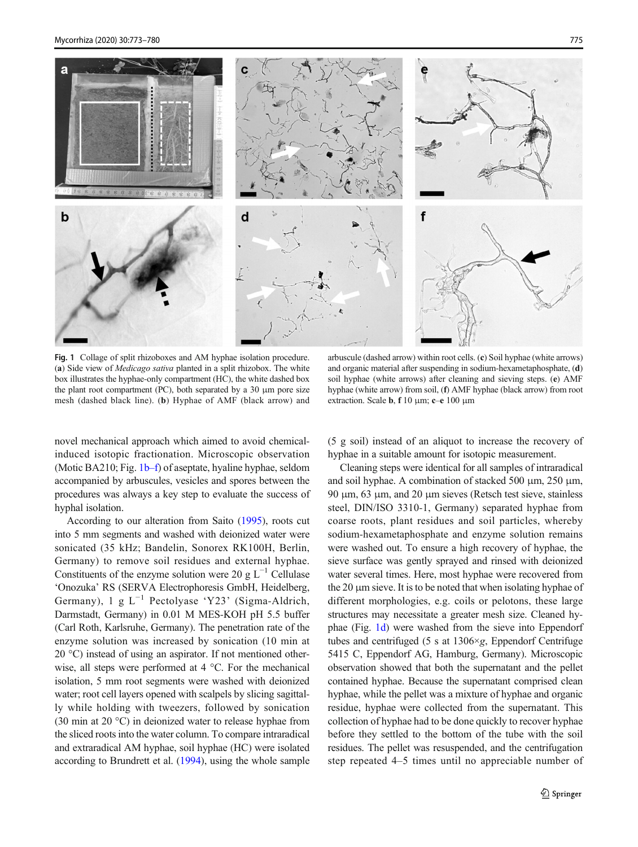<span id="page-2-0"></span>

Fig. 1 Collage of split rhizoboxes and AM hyphae isolation procedure. (a) Side view of Medicago sativa planted in a split rhizobox. The white box illustrates the hyphae-only compartment (HC), the white dashed box the plant root compartment (PC), both separated by a 30 μm pore size mesh (dashed black line). (b) Hyphae of AMF (black arrow) and

arbuscule (dashed arrow) within root cells. (c) Soil hyphae (white arrows) and organic material after suspending in sodium-hexametaphosphate, (d) soil hyphae (white arrows) after cleaning and sieving steps. (e) AMF hyphae (white arrow) from soil, (f) AMF hyphae (black arrow) from root extraction. Scale **b**, **f** 10 μm; c–e 100 μm

novel mechanical approach which aimed to avoid chemicalinduced isotopic fractionation. Microscopic observation (Motic BA210; Fig. 1b–f) of aseptate, hyaline hyphae, seldom accompanied by arbuscules, vesicles and spores between the procedures was always a key step to evaluate the success of hyphal isolation.

According to our alteration from Saito [\(1995\)](#page-7-0), roots cut into 5 mm segments and washed with deionized water were sonicated (35 kHz; Bandelin, Sonorex RK100H, Berlin, Germany) to remove soil residues and external hyphae. Constituents of the enzyme solution were 20 g  $L^{-1}$  Cellulase 'Onozuka' RS (SERVA Electrophoresis GmbH, Heidelberg, Germany), 1 g  $L^{-1}$  Pectolyase 'Y23' (Sigma-Aldrich, Darmstadt, Germany) in 0.01 M MES-KOH pH 5.5 buffer (Carl Roth, Karlsruhe, Germany). The penetration rate of the enzyme solution was increased by sonication (10 min at 20 °C) instead of using an aspirator. If not mentioned otherwise, all steps were performed at 4 °C. For the mechanical isolation, 5 mm root segments were washed with deionized water; root cell layers opened with scalpels by slicing sagittally while holding with tweezers, followed by sonication (30 min at 20 °C) in deionized water to release hyphae from the sliced roots into the water column. To compare intraradical and extraradical AM hyphae, soil hyphae (HC) were isolated according to Brundrett et al. [\(1994\)](#page-6-0), using the whole sample (5 g soil) instead of an aliquot to increase the recovery of hyphae in a suitable amount for isotopic measurement.

Cleaning steps were identical for all samples of intraradical and soil hyphae. A combination of stacked 500 μm, 250 μm, 90 μm, 63 μm, and 20 μm sieves (Retsch test sieve, stainless steel, DIN/ISO 3310-1, Germany) separated hyphae from coarse roots, plant residues and soil particles, whereby sodium-hexametaphosphate and enzyme solution remains were washed out. To ensure a high recovery of hyphae, the sieve surface was gently sprayed and rinsed with deionized water several times. Here, most hyphae were recovered from the 20 μm sieve. It is to be noted that when isolating hyphae of different morphologies, e.g. coils or pelotons, these large structures may necessitate a greater mesh size. Cleaned hyphae (Fig. 1d) were washed from the sieve into Eppendorf tubes and centrifuged (5 s at 1306×g, Eppendorf Centrifuge 5415 C, Eppendorf AG, Hamburg, Germany). Microscopic observation showed that both the supernatant and the pellet contained hyphae. Because the supernatant comprised clean hyphae, while the pellet was a mixture of hyphae and organic residue, hyphae were collected from the supernatant. This collection of hyphae had to be done quickly to recover hyphae before they settled to the bottom of the tube with the soil residues. The pellet was resuspended, and the centrifugation step repeated 4–5 times until no appreciable number of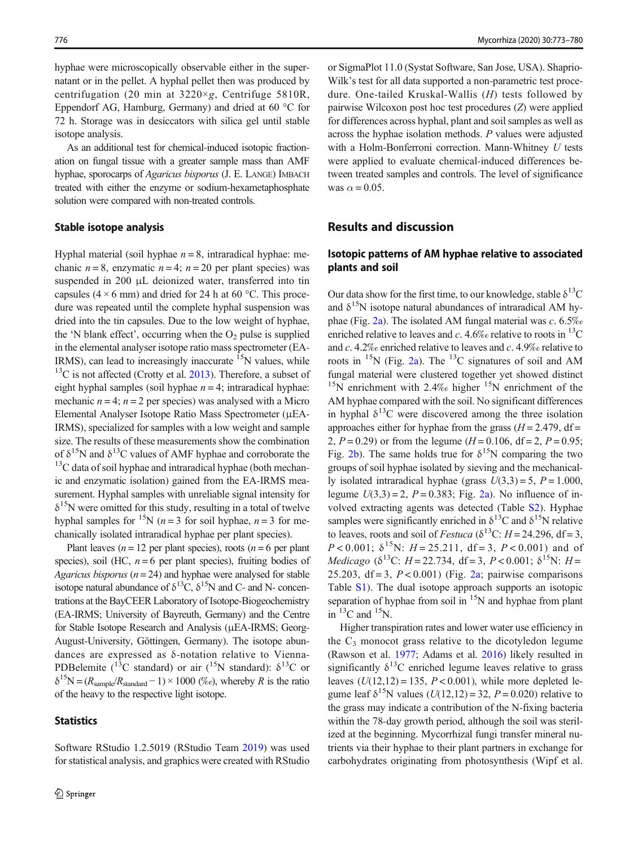hyphae were microscopically observable either in the supernatant or in the pellet. A hyphal pellet then was produced by centrifugation (20 min at  $3220 \times g$ , Centrifuge 5810R, Eppendorf AG, Hamburg, Germany) and dried at 60 °C for 72 h. Storage was in desiccators with silica gel until stable isotope analysis.

As an additional test for chemical-induced isotopic fractionation on fungal tissue with a greater sample mass than AMF hyphae, sporocarps of Agaricus bisporus (J. E. LANGE) IMBACH treated with either the enzyme or sodium-hexametaphosphate solution were compared with non-treated controls.

### Stable isotope analysis

Hyphal material (soil hyphae  $n = 8$ , intraradical hyphae: mechanic  $n = 8$ , enzymatic  $n = 4$ ;  $n = 20$  per plant species) was suspended in 200 μL deionized water, transferred into tin capsules ( $4 \times 6$  mm) and dried for 24 h at 60 °C. This procedure was repeated until the complete hyphal suspension was dried into the tin capsules. Due to the low weight of hyphae, the 'N blank effect', occurring when the  $O_2$  pulse is supplied in the elemental analyser isotope ratio mass spectrometer (EA-IRMS), can lead to increasingly inaccurate  $15N$  values, while  $13^1$ C is not affected (Crotty et al. [2013](#page-6-0)). Therefore, a subset of eight hyphal samples (soil hyphae  $n = 4$ ; intraradical hyphae: mechanic  $n = 4$ ;  $n = 2$  per species) was analysed with a Micro Elemental Analyser Isotope Ratio Mass Spectrometer (μEA-IRMS), specialized for samples with a low weight and sample size. The results of these measurements show the combination of  $\delta^{15}N$  and  $\delta^{13}C$  values of AMF hyphae and corroborate the  $13C$  data of soil hyphae and intraradical hyphae (both mechanic and enzymatic isolation) gained from the EA-IRMS measurement. Hyphal samples with unreliable signal intensity for  $\delta^{15}$ N were omitted for this study, resulting in a total of twelve hyphal samples for <sup>15</sup>N ( $n = 3$  for soil hyphae,  $n = 3$  for mechanically isolated intraradical hyphae per plant species).

Plant leaves ( $n = 12$  per plant species), roots ( $n = 6$  per plant species), soil (HC,  $n = 6$  per plant species), fruiting bodies of Agaricus bisporus ( $n = 24$ ) and hyphae were analysed for stable isotope natural abundance of  $\delta^{13}C$ ,  $\delta^{15}N$  and C- and N- concentrations at the BayCEER Laboratory of Isotope-Biogeochemistry (EA-IRMS; University of Bayreuth, Germany) and the Centre for Stable Isotope Research and Analysis (μEA-IRMS; Georg-August-University, Göttingen, Germany). The isotope abundances are expressed as δ-notation relative to Vienna-PDBelemite (<sup>13</sup>C standard) or air (<sup>15</sup>N standard):  $\delta$ <sup>13</sup>C or  $\delta^{15}N = (R_{sample}/R_{standard} - 1) \times 1000$  (‰), whereby R is the ratio of the heavy to the respective light isotope.

Software RStudio 1.2.5019 (RStudio Team [2019\)](#page-7-0) was used for statistical analysis, and graphics were created with RStudio

## **Statistics**

or SigmaPlot 11.0 (Systat Software, San Jose, USA). Shaprio-Wilk's test for all data supported a non-parametric test procedure. One-tailed Kruskal-Wallis  $(H)$  tests followed by pairwise Wilcoxon post hoc test procedures (Z) were applied for differences across hyphal, plant and soil samples as well as across the hyphae isolation methods. P values were adjusted with a Holm-Bonferroni correction. Mann-Whitney U tests were applied to evaluate chemical-induced differences between treated samples and controls. The level of significance was  $\alpha = 0.05$ .

## Results and discussion

## Isotopic patterns of AM hyphae relative to associated plants and soil

Our data show for the first time, to our knowledge, stable  $\delta^{13}$ C and  $\delta^{15}$ N isotope natural abundances of intraradical AM hyphae (Fig. [2a](#page-4-0)). The isolated AM fungal material was c. 6.5‰ enriched relative to leaves and c. 4.6‰ relative to roots in  $^{13}$ C and c. 4.2‰ enriched relative to leaves and c. 4.9‰ relative to roots in  $15N$  (Fig. [2a\)](#page-4-0). The  $13C$  signatures of soil and AM fungal material were clustered together yet showed distinct  $15$ N enrichment with 2.4‰ higher  $15$ N enrichment of the AM hyphae compared with the soil. No significant differences in hyphal  $\delta^{13}$ C were discovered among the three isolation approaches either for hyphae from the grass  $(H = 2.479, df =$ 2,  $P = 0.29$ ) or from the legume ( $H = 0.106$ , df = 2,  $P = 0.95$ ; Fig. [2b](#page-4-0)). The same holds true for  $\delta^{15}N$  comparing the two groups of soil hyphae isolated by sieving and the mechanically isolated intraradical hyphae (grass  $U(3,3) = 5$ ,  $P = 1.000$ , legume  $U(3,3) = 2$ ,  $P = 0.383$ ; Fig. [2a\)](#page-4-0). No influence of involved extracting agents was detected (Table S2). Hyphae samples were significantly enriched in  $\delta^{13}$ C and  $\delta^{15}$ N relative to leaves, roots and soil of *Festuca* ( $\delta^{13}$ C: *H* = 24.296, df = 3,  $P < 0.001$ ;  $\delta^{15}$ N:  $H = 25.211$ , df = 3,  $P < 0.001$ ) and of Medicago ( $\delta^{13}$ C: H = 22.734, df = 3, P < 0.001;  $\delta^{15}$ N: H = 25.203, df = 3,  $P < 0.001$ ) (Fig. [2a;](#page-4-0) pairwise comparisons Table S1). The dual isotope approach supports an isotopic separation of hyphae from soil in  $15N$  and hyphae from plant in  ${}^{13}C$  and  ${}^{15}N$ .

Higher transpiration rates and lower water use efficiency in the  $C_3$  monocot grass relative to the dicotyledon legume (Rawson et al. [1977](#page-7-0); Adams et al. [2016](#page-6-0)) likely resulted in significantly  $\delta^{13}$ C enriched legume leaves relative to grass leaves  $(U(12,12) = 135, P < 0.001)$ , while more depleted legume leaf  $\delta^{15}N$  values  $(U(12,12) = 32, P = 0.020)$  relative to the grass may indicate a contribution of the N-fixing bacteria within the 78-day growth period, although the soil was sterilized at the beginning. Mycorrhizal fungi transfer mineral nutrients via their hyphae to their plant partners in exchange for carbohydrates originating from photosynthesis (Wipf et al.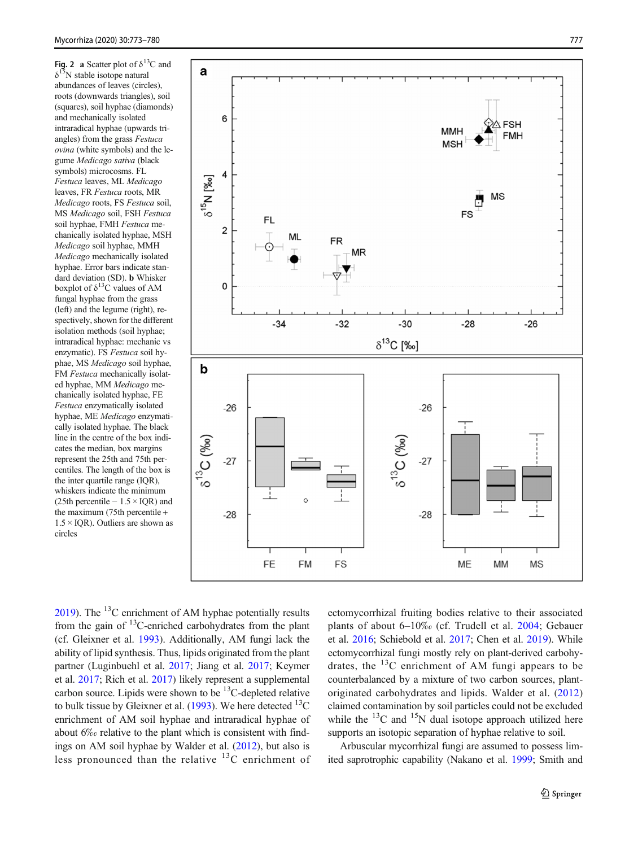<span id="page-4-0"></span>Fig. 2 a Scatter plot of  $\delta^{13}$ C and  $\delta^{15}$ N stable isotope natural abundances of leaves (circles), roots (downwards triangles), soil (squares), soil hyphae (diamonds) and mechanically isolated intraradical hyphae (upwards triangles) from the grass Festuca ovina (white symbols) and the legume Medicago sativa (black symbols) microcosms. FL Festuca leaves, ML Medicago leaves, FR Festuca roots, MR Medicago roots, FS Festuca soil, MS Medicago soil, FSH Festuca soil hyphae, FMH Festuca mechanically isolated hyphae, MSH Medicago soil hyphae, MMH Medicago mechanically isolated hyphae. Error bars indicate standard deviation (SD). b Whisker boxplot of  $\delta^{13}$ C values of AM fungal hyphae from the grass (left) and the legume (right), respectively, shown for the different isolation methods (soil hyphae; intraradical hyphae: mechanic vs enzymatic). FS Festuca soil hyphae, MS Medicago soil hyphae, FM Festuca mechanically isolated hyphae, MM Medicago mechanically isolated hyphae, FE Festuca enzymatically isolated hyphae, ME Medicago enzymatically isolated hyphae. The black line in the centre of the box indicates the median, box margins represent the 25th and 75th percentiles. The length of the box is the inter quartile range (IQR), whiskers indicate the minimum (25th percentile  $-1.5 \times IQR$ ) and the maximum (75th percentile +  $1.5 \times$  IOR). Outliers are shown as circles



[2019\)](#page-7-0). The 13C enrichment of AM hyphae potentially results from the gain of 13C-enriched carbohydrates from the plant (cf. Gleixner et al. [1993\)](#page-6-0). Additionally, AM fungi lack the ability of lipid synthesis. Thus, lipids originated from the plant partner (Luginbuehl et al. [2017](#page-7-0); Jiang et al. [2017](#page-7-0); Keymer et al. [2017;](#page-7-0) Rich et al. [2017](#page-7-0)) likely represent a supplemental carbon source. Lipids were shown to be  $^{13}$ C-depleted relative to bulk tissue by Gleixner et al.  $(1993)$ . We here detected <sup>13</sup>C enrichment of AM soil hyphae and intraradical hyphae of about 6‰ relative to the plant which is consistent with findings on AM soil hyphae by Walder et al. [\(2012\)](#page-7-0), but also is less pronounced than the relative  $^{13}$ C enrichment of

ectomycorrhizal fruiting bodies relative to their associated plants of about 6–10‰ (cf. Trudell et al. [2004;](#page-7-0) Gebauer et al. [2016;](#page-6-0) Schiebold et al. [2017](#page-7-0); Chen et al. [2019\)](#page-6-0). While ectomycorrhizal fungi mostly rely on plant-derived carbohydrates, the  $^{13}$ C enrichment of AM fungi appears to be counterbalanced by a mixture of two carbon sources, plantoriginated carbohydrates and lipids. Walder et al. ([2012](#page-7-0)) claimed contamination by soil particles could not be excluded while the  $^{13}$ C and  $^{15}$ N dual isotope approach utilized here supports an isotopic separation of hyphae relative to soil.

Arbuscular mycorrhizal fungi are assumed to possess limited saprotrophic capability (Nakano et al. [1999](#page-7-0); Smith and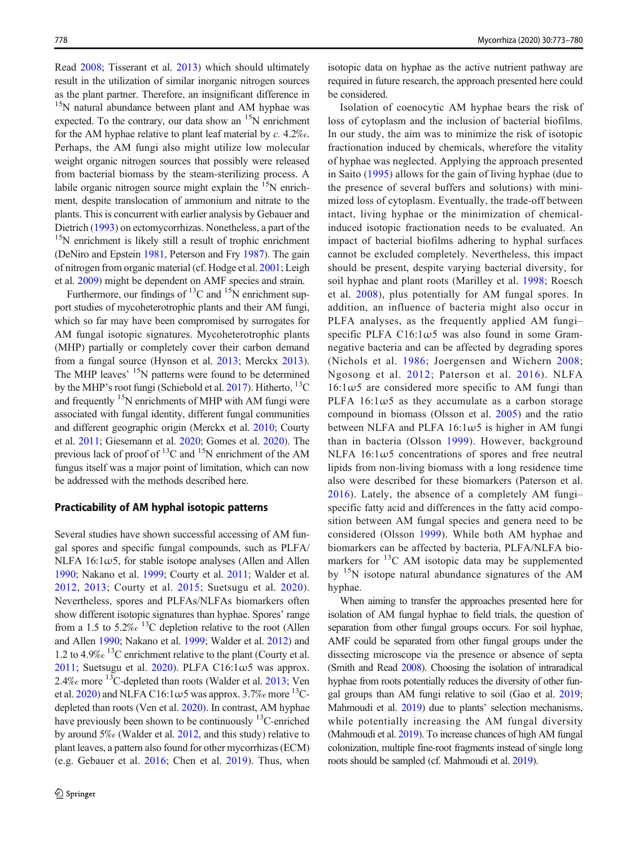Read [2008;](#page-7-0) Tisserant et al. [2013\)](#page-7-0) which should ultimately result in the utilization of similar inorganic nitrogen sources as the plant partner. Therefore, an insignificant difference in  $15N$  natural abundance between plant and AM hyphae was expected. To the contrary, our data show an  $15N$  enrichment for the AM hyphae relative to plant leaf material by  $c$ . 4.2‰. Perhaps, the AM fungi also might utilize low molecular weight organic nitrogen sources that possibly were released from bacterial biomass by the steam-sterilizing process. A labile organic nitrogen source might explain the  $\mathrm{^{15}N}$  enrichment, despite translocation of ammonium and nitrate to the plants. This is concurrent with earlier analysis by Gebauer and Dietrich ([1993](#page-6-0)) on ectomycorrhizas. Nonetheless, a part of the  $15$ N enrichment is likely still a result of trophic enrichment (DeNiro and Epstein [1981,](#page-6-0) Peterson and Fry [1987\)](#page-7-0). The gain of nitrogen from organic material (cf. Hodge et al. [2001;](#page-7-0) Leigh et al. [2009](#page-7-0)) might be dependent on AMF species and strain.

Furthermore, our findings of  ${}^{13}C$  and  ${}^{15}N$  enrichment support studies of mycoheterotrophic plants and their AM fungi, which so far may have been compromised by surrogates for AM fungal isotopic signatures. Mycoheterotrophic plants (MHP) partially or completely cover their carbon demand from a fungal source (Hynson et al. [2013;](#page-7-0) Merckx [2013](#page-7-0)). The MHP leaves' <sup>15</sup>N patterns were found to be determined by the MHP's root fungi (Schiebold et al. [2017](#page-7-0)). Hitherto,  $^{13}$ C and frequently  $15N$  enrichments of MHP with AM fungi were associated with fungal identity, different fungal communities and different geographic origin (Merckx et al. [2010](#page-7-0); Courty et al. [2011;](#page-6-0) Giesemann et al. [2020](#page-6-0); Gomes et al. [2020](#page-7-0)). The previous lack of proof of  $^{13}$ C and  $^{15}$ N enrichment of the AM fungus itself was a major point of limitation, which can now be addressed with the methods described here.

### Practicability of AM hyphal isotopic patterns

Several studies have shown successful accessing of AM fungal spores and specific fungal compounds, such as PLFA/ NLFA  $16:1\omega$ 5, for stable isotope analyses (Allen and Allen [1990;](#page-6-0) Nakano et al. [1999;](#page-7-0) Courty et al. [2011;](#page-6-0) Walder et al. [2012,](#page-7-0) [2013;](#page-7-0) Courty et al. [2015;](#page-6-0) Suetsugu et al. [2020](#page-7-0)). Nevertheless, spores and PLFAs/NLFAs biomarkers often show different isotopic signatures than hyphae. Spores' range from a 1.5 to  $5.2\%$  <sup>13</sup>C depletion relative to the root (Allen and Allen [1990;](#page-6-0) Nakano et al. [1999](#page-7-0); Walder et al. [2012](#page-7-0)) and 1.2 to  $4.9\%$ <sup>13</sup>C enrichment relative to the plant (Courty et al. [2011;](#page-6-0) Suetsugu et al.  $2020$ ). PLFA C16:1 $\omega$ 5 was approx. 2.4‰ more 13C-depleted than roots (Walder et al. [2013](#page-7-0); Ven et al. [2020\)](#page-7-0) and NLFA C16:1 $\omega$ 5 was approx. 3.7% more <sup>13</sup>Cdepleted than roots (Ven et al. [2020](#page-7-0)). In contrast, AM hyphae have previously been shown to be continuously  $^{13}$ C-enriched by around 5‰ (Walder et al. [2012](#page-7-0), and this study) relative to plant leaves, a pattern also found for other mycorrhizas (ECM) (e.g. Gebauer et al. [2016](#page-6-0); Chen et al. [2019](#page-6-0)). Thus, when

isotopic data on hyphae as the active nutrient pathway are required in future research, the approach presented here could be considered.

Isolation of coenocytic AM hyphae bears the risk of loss of cytoplasm and the inclusion of bacterial biofilms. In our study, the aim was to minimize the risk of isotopic fractionation induced by chemicals, wherefore the vitality of hyphae was neglected. Applying the approach presented in Saito ([1995](#page-7-0)) allows for the gain of living hyphae (due to the presence of several buffers and solutions) with minimized loss of cytoplasm. Eventually, the trade-off between intact, living hyphae or the minimization of chemicalinduced isotopic fractionation needs to be evaluated. An impact of bacterial biofilms adhering to hyphal surfaces cannot be excluded completely. Nevertheless, this impact should be present, despite varying bacterial diversity, for soil hyphae and plant roots (Marilley et al. [1998](#page-7-0); Roesch et al. [2008](#page-7-0)), plus potentially for AM fungal spores. In addition, an influence of bacteria might also occur in PLFA analyses, as the frequently applied AM fungi– specific PLFA  $C16:1\omega5$  was also found in some Gramnegative bacteria and can be affected by degrading spores (Nichols et al. [1986;](#page-7-0) Joergensen and Wichern [2008;](#page-7-0) Ngosong et al. [2012](#page-7-0); Paterson et al. [2016\)](#page-7-0). NLFA  $16:1\omega$ 5 are considered more specific to AM fungi than PLFA  $16:1\omega5$  as they accumulate as a carbon storage compound in biomass (Olsson et al. [2005](#page-7-0)) and the ratio between NLFA and PLFA  $16:1\omega$ 5 is higher in AM fungi than in bacteria (Olsson [1999](#page-7-0)). However, background NLFA  $16:1\omega$ 5 concentrations of spores and free neutral lipids from non-living biomass with a long residence time also were described for these biomarkers (Paterson et al. [2016\)](#page-7-0). Lately, the absence of a completely AM fungi– specific fatty acid and differences in the fatty acid composition between AM fungal species and genera need to be considered (Olsson [1999](#page-7-0)). While both AM hyphae and biomarkers can be affected by bacteria, PLFA/NLFA biomarkers for  $^{13}$ C AM isotopic data may be supplemented by 15N isotope natural abundance signatures of the AM hyphae.

When aiming to transfer the approaches presented here for isolation of AM fungal hyphae to field trials, the question of separation from other fungal groups occurs. For soil hyphae, AMF could be separated from other fungal groups under the dissecting microscope via the presence or absence of septa (Smith and Read [2008\)](#page-7-0). Choosing the isolation of intraradical hyphae from roots potentially reduces the diversity of other fungal groups than AM fungi relative to soil (Gao et al. [2019;](#page-6-0) Mahmoudi et al. [2019\)](#page-7-0) due to plants' selection mechanisms, while potentially increasing the AM fungal diversity (Mahmoudi et al. [2019\)](#page-7-0). To increase chances of high AM fungal colonization, multiple fine-root fragments instead of single long roots should be sampled (cf. Mahmoudi et al. [2019](#page-7-0)).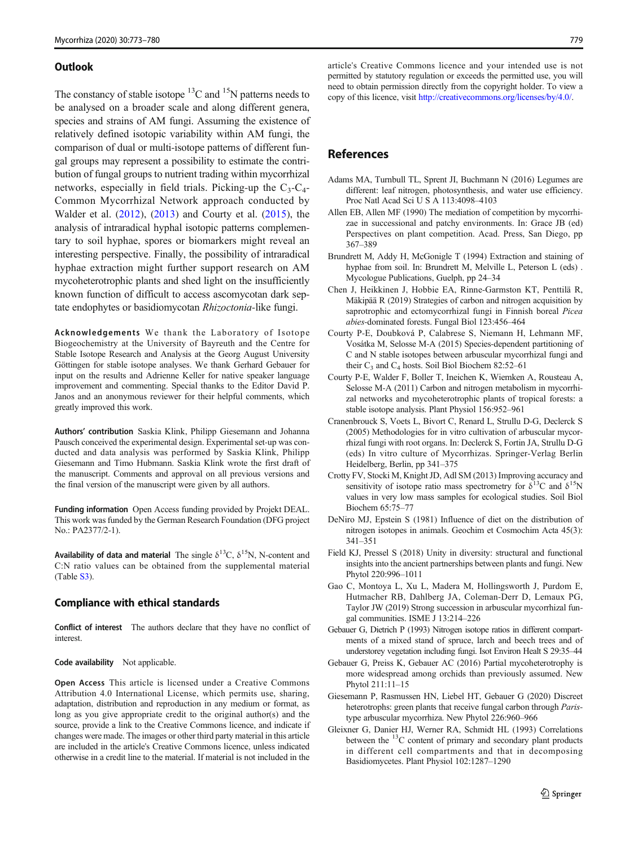#### <span id="page-6-0"></span>**Outlook**

The constancy of stable isotope  ${}^{13}$ C and  ${}^{15}$ N patterns needs to be analysed on a broader scale and along different genera, species and strains of AM fungi. Assuming the existence of relatively defined isotopic variability within AM fungi, the comparison of dual or multi-isotope patterns of different fungal groups may represent a possibility to estimate the contribution of fungal groups to nutrient trading within mycorrhizal networks, especially in field trials. Picking-up the  $C_3$ - $C_4$ -Common Mycorrhizal Network approach conducted by Walder et al. [\(2012](#page-7-0)), ([2013\)](#page-7-0) and Courty et al. (2015), the analysis of intraradical hyphal isotopic patterns complementary to soil hyphae, spores or biomarkers might reveal an interesting perspective. Finally, the possibility of intraradical hyphae extraction might further support research on AM mycoheterotrophic plants and shed light on the insufficiently known function of difficult to access ascomycotan dark septate endophytes or basidiomycotan Rhizoctonia-like fungi.

Acknowledgements We thank the Laboratory of Isotope Biogeochemistry at the University of Bayreuth and the Centre for Stable Isotope Research and Analysis at the Georg August University Göttingen for stable isotope analyses. We thank Gerhard Gebauer for input on the results and Adrienne Keller for native speaker language improvement and commenting. Special thanks to the Editor David P. Janos and an anonymous reviewer for their helpful comments, which greatly improved this work.

Authors' contribution Saskia Klink, Philipp Giesemann and Johanna Pausch conceived the experimental design. Experimental set-up was conducted and data analysis was performed by Saskia Klink, Philipp Giesemann and Timo Hubmann. Saskia Klink wrote the first draft of the manuscript. Comments and approval on all previous versions and the final version of the manuscript were given by all authors.

Funding information Open Access funding provided by Projekt DEAL. This work was funded by the German Research Foundation (DFG project No.: PA2377/2-1).

Availability of data and material The single  $\delta^{13}C$ ,  $\delta^{15}N$ , N-content and C:N ratio values can be obtained from the supplemental material (Table S3).

#### Compliance with ethical standards

**Conflict of interest** The authors declare that they have no conflict of interest.

#### Code availability Not applicable.

Open Access This article is licensed under a Creative Commons Attribution 4.0 International License, which permits use, sharing, adaptation, distribution and reproduction in any medium or format, as long as you give appropriate credit to the original author(s) and the source, provide a link to the Creative Commons licence, and indicate if changes were made. The images or other third party material in this article are included in the article's Creative Commons licence, unless indicated otherwise in a credit line to the material. If material is not included in the

article's Creative Commons licence and your intended use is not permitted by statutory regulation or exceeds the permitted use, you will need to obtain permission directly from the copyright holder. To view a copy of this licence, visit [http://creativecommons.org/licenses/by/4.0/.](https://doi.org/)

## References

- Adams MA, Turnbull TL, Sprent JI, Buchmann N (2016) Legumes are different: leaf nitrogen, photosynthesis, and water use efficiency. Proc Natl Acad Sci U S A 113:4098–4103
- Allen EB, Allen MF (1990) The mediation of competition by mycorrhizae in successional and patchy environments. In: Grace JB (ed) Perspectives on plant competition. Acad. Press, San Diego, pp 367–389
- Brundrett M, Addy H, McGonigle T (1994) Extraction and staining of hyphae from soil. In: Brundrett M, Melville L, Peterson L (eds) . Mycologue Publications, Guelph, pp 24–34
- Chen J, Heikkinen J, Hobbie EA, Rinne-Garmston KT, Penttilä R, Mäkipää R (2019) Strategies of carbon and nitrogen acquisition by saprotrophic and ectomycorrhizal fungi in Finnish boreal Picea abies-dominated forests. Fungal Biol 123:456–464
- Courty P-E, Doubková P, Calabrese S, Niemann H, Lehmann MF, Vosátka M, Selosse M-A (2015) Species-dependent partitioning of C and N stable isotopes between arbuscular mycorrhizal fungi and their  $C_3$  and  $C_4$  hosts. Soil Biol Biochem 82:52–61
- Courty P-E, Walder F, Boller T, Ineichen K, Wiemken A, Rousteau A, Selosse M-A (2011) Carbon and nitrogen metabolism in mycorrhizal networks and mycoheterotrophic plants of tropical forests: a stable isotope analysis. Plant Physiol 156:952–961
- Cranenbrouck S, Voets L, Bivort C, Renard L, Strullu D-G, Declerck S (2005) Methodologies for in vitro cultivation of arbuscular mycorrhizal fungi with root organs. In: Declerck S, Fortin JA, Strullu D-G (eds) In vitro culture of Mycorrhizas. Springer-Verlag Berlin Heidelberg, Berlin, pp 341–375
- Crotty FV, Stocki M, Knight JD, Adl SM (2013) Improving accuracy and sensitivity of isotope ratio mass spectrometry for  $\delta^{13}$ C and  $\delta^{15}$ N values in very low mass samples for ecological studies. Soil Biol Biochem 65:75–77
- DeNiro MJ, Epstein S (1981) Influence of diet on the distribution of nitrogen isotopes in animals. Geochim et Cosmochim Acta 45(3): 341–351
- Field KJ, Pressel S (2018) Unity in diversity: structural and functional insights into the ancient partnerships between plants and fungi. New Phytol 220:996–1011
- Gao C, Montoya L, Xu L, Madera M, Hollingsworth J, Purdom E, Hutmacher RB, Dahlberg JA, Coleman-Derr D, Lemaux PG, Taylor JW (2019) Strong succession in arbuscular mycorrhizal fungal communities. ISME J 13:214–226
- Gebauer G, Dietrich P (1993) Nitrogen isotope ratios in different compartments of a mixed stand of spruce, larch and beech trees and of understorey vegetation including fungi. Isot Environ Healt S 29:35–44
- Gebauer G, Preiss K, Gebauer AC (2016) Partial mycoheterotrophy is more widespread among orchids than previously assumed. New Phytol 211:11–15
- Giesemann P, Rasmussen HN, Liebel HT, Gebauer G (2020) Discreet heterotrophs: green plants that receive fungal carbon through Paristype arbuscular mycorrhiza. New Phytol 226:960–966
- Gleixner G, Danier HJ, Werner RA, Schmidt HL (1993) Correlations between the  $^{13}$ C content of primary and secondary plant products in different cell compartments and that in decomposing Basidiomycetes. Plant Physiol 102:1287–1290